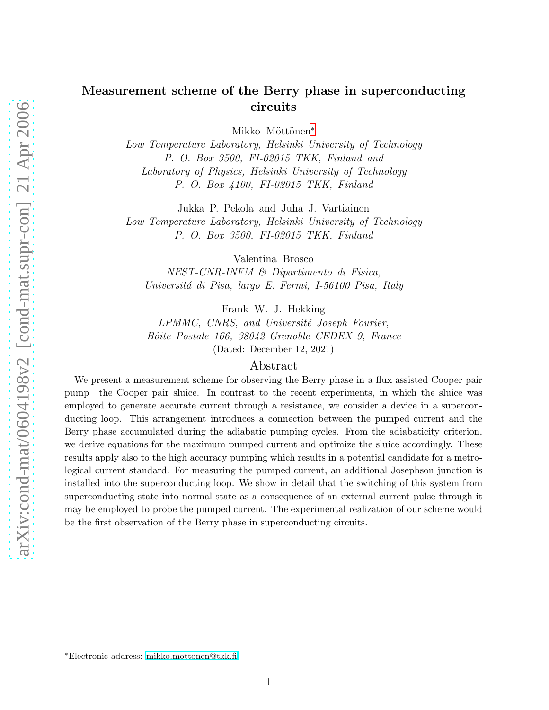# Measurement scheme of the Berry phase in superconducting circuits

Mikko Möttönen<sup>\*</sup>

Low Temperature Laboratory, Helsinki University of Technology P. O. Box 3500, FI-02015 TKK, Finland and Laboratory of Physics, Helsinki University of Technology P. O. Box 4100, FI-02015 TKK, Finland

Jukka P. Pekola and Juha J. Vartiainen

Low Temperature Laboratory, Helsinki University of Technology P. O. Box 3500, FI-02015 TKK, Finland

Valentina Brosco

NEST-CNR-INFM & Dipartimento di Fisica, Universitá di Pisa, largo E. Fermi, I-56100 Pisa, Italy

Frank W. J. Hekking

LPMMC, CNRS, and Université Joseph Fourier, Bôite Postale 166, 38042 Grenoble CEDEX 9, France (Dated: December 12, 2021)

# Abstract

We present a measurement scheme for observing the Berry phase in a flux assisted Cooper pair pump—the Cooper pair sluice. In contrast to the recent experiments, in which the sluice was employed to generate accurate current through a resistance, we consider a device in a superconducting loop. This arrangement introduces a connection between the pumped current and the Berry phase accumulated during the adiabatic pumping cycles. From the adiabaticity criterion, we derive equations for the maximum pumped current and optimize the sluice accordingly. These results apply also to the high accuracy pumping which results in a potential candidate for a metrological current standard. For measuring the pumped current, an additional Josephson junction is installed into the superconducting loop. We show in detail that the switching of this system from superconducting state into normal state as a consequence of an external current pulse through it may be employed to probe the pumped current. The experimental realization of our scheme would be the first observation of the Berry phase in superconducting circuits.

<span id="page-0-0"></span><sup>∗</sup>Electronic address: [mikko.mottonen@tkk.fi](mailto:mikko.mottonen@tkk.fi)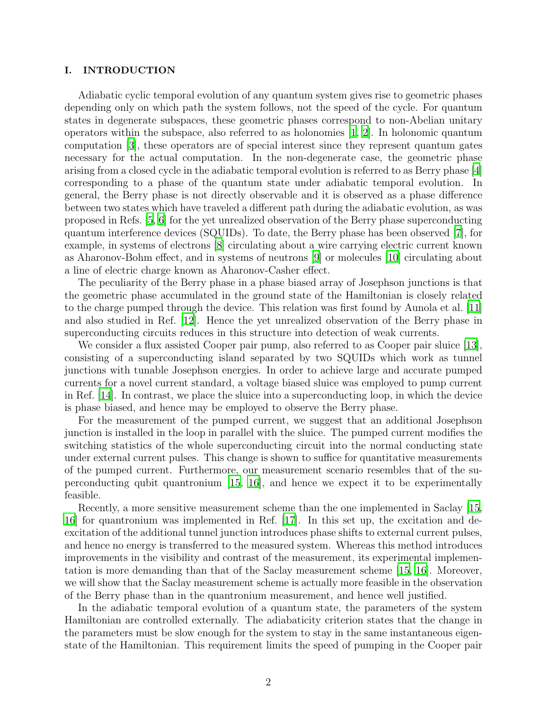# I. INTRODUCTION

Adiabatic cyclic temporal evolution of any quantum system gives rise to geometric phases depending only on which path the system follows, not the speed of the cycle. For quantum states in degenerate subspaces, these geometric phases correspond to non-Abelian unitary operators within the subspace, also referred to as holonomies  $[1, 2]$  $[1, 2]$ . In holonomic quantum computation [\[3\]](#page-17-2), these operators are of special interest since they represent quantum gates necessary for the actual computation. In the non-degenerate case, the geometric phase arising from a closed cycle in the adiabatic temporal evolution is referred to as Berry phase [\[4\]](#page-17-3) corresponding to a phase of the quantum state under adiabatic temporal evolution. In general, the Berry phase is not directly observable and it is observed as a phase difference between two states which have traveled a different path during the adiabatic evolution, as was proposed in Refs. [\[5,](#page-17-4) [6\]](#page-17-5) for the yet unrealized observation of the Berry phase superconducting quantum interference devices (SQUIDs). To date, the Berry phase has been observed [\[7](#page-17-6)], for example, in systems of electrons [\[8\]](#page-17-7) circulating about a wire carrying electric current known as Aharonov-Bohm effect, and in systems of neutrons [\[9](#page-17-8)] or molecules [\[10](#page-18-0)] circulating about a line of electric charge known as Aharonov-Casher effect.

The peculiarity of the Berry phase in a phase biased array of Josephson junctions is that the geometric phase accumulated in the ground state of the Hamiltonian is closely related to the charge pumped through the device. This relation was first found by Aunola et al. [\[11\]](#page-18-1) and also studied in Ref. [\[12](#page-18-2)]. Hence the yet unrealized observation of the Berry phase in superconducting circuits reduces in this structure into detection of weak currents.

We consider a flux assisted Cooper pair pump, also referred to as Cooper pair sluice [\[13\]](#page-18-3), consisting of a superconducting island separated by two SQUIDs which work as tunnel junctions with tunable Josephson energies. In order to achieve large and accurate pumped currents for a novel current standard, a voltage biased sluice was employed to pump current in Ref. [\[14\]](#page-18-4). In contrast, we place the sluice into a superconducting loop, in which the device is phase biased, and hence may be employed to observe the Berry phase.

For the measurement of the pumped current, we suggest that an additional Josephson junction is installed in the loop in parallel with the sluice. The pumped current modifies the switching statistics of the whole superconducting circuit into the normal conducting state under external current pulses. This change is shown to suffice for quantitative measurements of the pumped current. Furthermore, our measurement scenario resembles that of the superconducting qubit quantronium [\[15](#page-18-5), [16\]](#page-18-6), and hence we expect it to be experimentally feasible.

Recently, a more sensitive measurement scheme than the one implemented in Saclay [\[15,](#page-18-5) [16\]](#page-18-6) for quantronium was implemented in Ref. [\[17](#page-18-7)]. In this set up, the excitation and deexcitation of the additional tunnel junction introduces phase shifts to external current pulses, and hence no energy is transferred to the measured system. Whereas this method introduces improvements in the visibility and contrast of the measurement, its experimental implementation is more demanding than that of the Saclay measurement scheme [\[15,](#page-18-5) [16\]](#page-18-6). Moreover, we will show that the Saclay measurement scheme is actually more feasible in the observation of the Berry phase than in the quantronium measurement, and hence well justified.

In the adiabatic temporal evolution of a quantum state, the parameters of the system Hamiltonian are controlled externally. The adiabaticity criterion states that the change in the parameters must be slow enough for the system to stay in the same instantaneous eigenstate of the Hamiltonian. This requirement limits the speed of pumping in the Cooper pair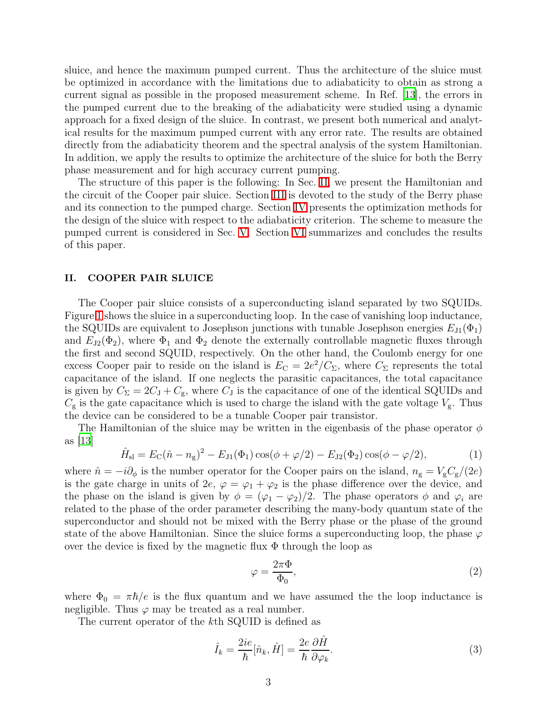sluice, and hence the maximum pumped current. Thus the architecture of the sluice must be optimized in accordance with the limitations due to adiabaticity to obtain as strong a current signal as possible in the proposed measurement scheme. In Ref. [\[13](#page-18-3)], the errors in the pumped current due to the breaking of the adiabaticity were studied using a dynamic approach for a fixed design of the sluice. In contrast, we present both numerical and analytical results for the maximum pumped current with any error rate. The results are obtained directly from the adiabaticity theorem and the spectral analysis of the system Hamiltonian. In addition, we apply the results to optimize the architecture of the sluice for both the Berry phase measurement and for high accuracy current pumping.

The structure of this paper is the following: In Sec. [II,](#page-2-0) we present the Hamiltonian and the circuit of the Cooper pair sluice. Section [III](#page-4-0) is devoted to the study of the Berry phase and its connection to the pumped charge. Section [IV](#page-10-0) presents the optimization methods for the design of the sluice with respect to the adiabaticity criterion. The scheme to measure the pumped current is considered in Sec. [V.](#page-14-0) Section [VI](#page-17-9) summarizes and concludes the results of this paper.

# <span id="page-2-0"></span>II. COOPER PAIR SLUICE

The Cooper pair sluice consists of a superconducting island separated by two SQUIDs. Figure [1](#page-3-0) shows the sluice in a superconducting loop. In the case of vanishing loop inductance, the SQUIDs are equivalent to Josephson junctions with tunable Josephson energies  $E_{J1}(\Phi_1)$ and  $E_{J2}(\Phi_2)$ , where  $\Phi_1$  and  $\Phi_2$  denote the externally controllable magnetic fluxes through the first and second SQUID, respectively. On the other hand, the Coulomb energy for one excess Cooper pair to reside on the island is  $E_C = 2e^2/C_{\Sigma}$ , where  $C_{\Sigma}$  represents the total capacitance of the island. If one neglects the parasitic capacitances, the total capacitance is given by  $C_{\Sigma} = 2C_{\rm J} + C_{\rm g}$ , where  $C_{\rm J}$  is the capacitance of one of the identical SQUIDs and  $C_{\rm g}$  is the gate capacitance which is used to charge the island with the gate voltage  $V_{\rm g}$ . Thus the device can be considered to be a tunable Cooper pair transistor.

<span id="page-2-2"></span>The Hamiltonian of the sluice may be written in the eigenbasis of the phase operator  $\phi$ as [\[13](#page-18-3)]

$$
\hat{H}_{\rm sl} = E_{\rm C}(\hat{n} - n_{\rm g})^2 - E_{\rm J1}(\Phi_1) \cos(\phi + \varphi/2) - E_{\rm J2}(\Phi_2) \cos(\phi - \varphi/2),\tag{1}
$$

where  $\hat{n} = -i\partial_{\phi}$  is the number operator for the Cooper pairs on the island,  $n_{\rm g} = V_{\rm g} C_{\rm g}/(2e)$ is the gate charge in units of  $2e, \varphi = \varphi_1 + \varphi_2$  is the phase difference over the device, and the phase on the island is given by  $\phi = (\varphi_1 - \varphi_2)/2$ . The phase operators  $\phi$  and  $\varphi_i$  are related to the phase of the order parameter describing the many-body quantum state of the superconductor and should not be mixed with the Berry phase or the phase of the ground state of the above Hamiltonian. Since the sluice forms a superconducting loop, the phase  $\varphi$ over the device is fixed by the magnetic flux  $\Phi$  through the loop as

<span id="page-2-3"></span><span id="page-2-1"></span>
$$
\varphi = \frac{2\pi\Phi}{\Phi_0},\tag{2}
$$

where  $\Phi_0 = \pi \hbar/e$  is the flux quantum and we have assumed the the loop inductance is negligible. Thus  $\varphi$  may be treated as a real number.

The current operator of the kth SQUID is defined as

$$
\hat{I}_k = \frac{2ie}{\hbar}[\hat{n}_k, \hat{H}] = \frac{2e}{\hbar} \frac{\partial \hat{H}}{\partial \varphi_k}.
$$
\n(3)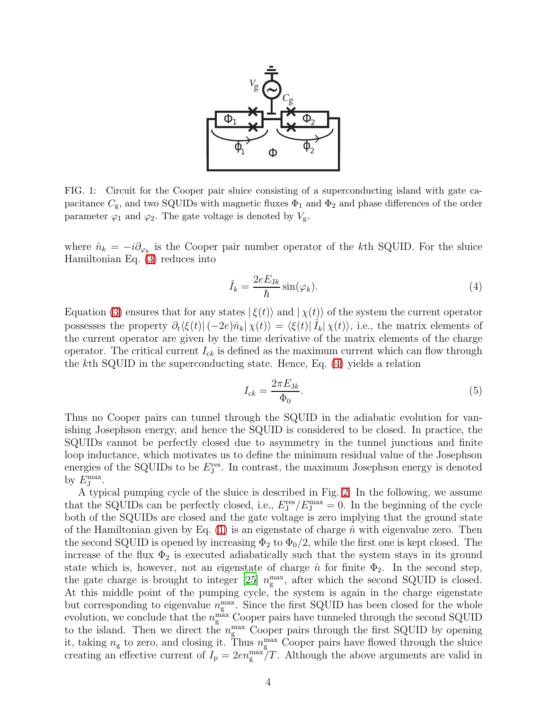

<span id="page-3-0"></span>FIG. 1: Circuit for the Cooper pair sluice consisting of a superconducting island with gate capacitance  $C_{\rm g}$ , and two SQUIDs with magnetic fluxes  $\Phi_1$  and  $\Phi_2$  and phase differences of the order parameter  $\varphi_1$  and  $\varphi_2$ . The gate voltage is denoted by  $V_g$ .

where  $\hat{n}_k = -i\partial_{\varphi_k}$  is the Cooper pair number operator of the kth SQUID. For the sluice Hamiltonian Eq. [\(3\)](#page-2-1) reduces into

<span id="page-3-1"></span>
$$
\hat{I}_k = \frac{2eE_{\text{J}k}}{\hbar} \sin(\varphi_k). \tag{4}
$$

Equation [\(3\)](#page-2-1) ensures that for any states  $|\xi(t)\rangle$  and  $|\chi(t)\rangle$  of the system the current operator possesses the property  $\partial_t \langle \xi(t) | (-2e) \hat{n}_k | \chi(t) \rangle = \langle \xi(t) | \hat{I}_k | \chi(t) \rangle$ , i.e., the matrix elements of the current operator are given by the time derivative of the matrix elements of the charge operator. The critical current  $I_{ck}$  is defined as the maximum current which can flow through the kth SQUID in the superconducting state. Hence, Eq. [\(4\)](#page-3-1) yields a relation

$$
I_{ck} = \frac{2\pi E_{Jk}}{\Phi_0}.\tag{5}
$$

Thus no Cooper pairs can tunnel through the SQUID in the adiabatic evolution for vanishing Josephson energy, and hence the SQUID is considered to be closed. In practice, the SQUIDs cannot be perfectly closed due to asymmetry in the tunnel junctions and finite loop inductance, which motivates us to define the minimum residual value of the Josephson energies of the SQUIDs to be  $E_{\text{J}}^{\text{res}}$ . In contrast, the maximum Josephson energy is denoted by  $E_{\text{J}}^{\text{max}}$ .

A typical pumping cycle of the sluice is described in Fig. [2.](#page-4-1) In the following, we assume that the SQUIDs can be perfectly closed, i.e.,  $E_{\text{J}}^{\text{res}}/E_{\text{J}}^{\text{max}} = 0$ . In the beginning of the cycle both of the SQUIDs are closed and the gate voltage is zero implying that the ground state of the Hamiltonian given by Eq. [\(1\)](#page-2-2) is an eigenstate of charge  $\hat{n}$  with eigenvalue zero. Then the second SQUID is opened by increasing  $\Phi_2$  to  $\Phi_0/2$ , while the first one is kept closed. The increase of the flux  $\Phi_2$  is executed adiabatically such that the system stays in its ground state which is, however, not an eigenstate of charge  $\hat{n}$  for finite  $\Phi_2$ . In the second step, the gate charge is brought to integer [\[25\]](#page-18-8)  $n_{\rm g}^{\rm max}$ , after which the second SQUID is closed. At this middle point of the pumping cycle, the system is again in the charge eigenstate but corresponding to eigenvalue  $n_{\rm g}^{\rm max}$ . Since the first SQUID has been closed for the whole evolution, we conclude that the  $n_{\rm g}^{\rm max}$  Cooper pairs have tunneled through the second SQUID to the island. Then we direct the  $n_{\rm g}^{\rm max}$  Cooper pairs through the first SQUID by opening it, taking  $n_{\rm g}$  to zero, and closing it. Thus  $n_{\rm g}^{\rm max}$  Cooper pairs have flowed through the sluice creating an effective current of  $I_p = 2en_{\rm g}^{\rm max}/T$ . Although the above arguments are valid in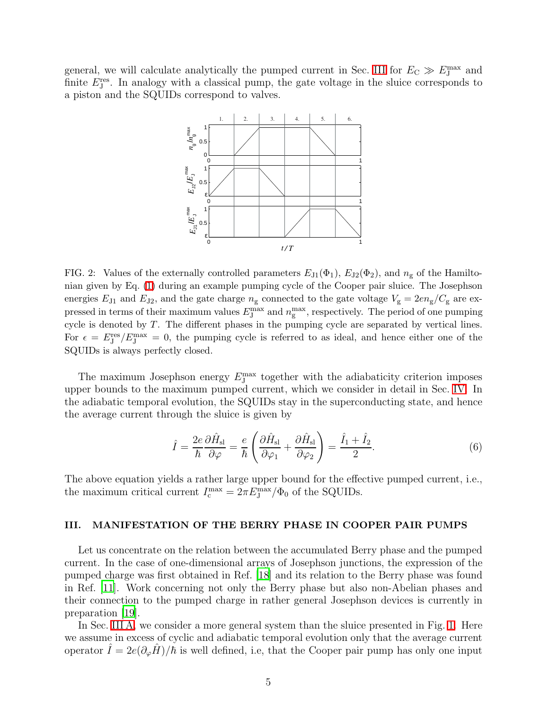general, we will calculate analytically the pumped current in Sec. [III](#page-4-0) for  $E_{\rm C} \gg E_{\rm J}^{\rm max}$  and finite  $E_{J}^{\text{res}}$ . In analogy with a classical pump, the gate voltage in the sluice corresponds to a piston and the SQUIDs correspond to valves.



<span id="page-4-1"></span>FIG. 2: Values of the externally controlled parameters  $E_{J1}(\Phi_1)$ ,  $E_{J2}(\Phi_2)$ , and  $n_g$  of the Hamiltonian given by Eq. [\(1\)](#page-2-2) during an example pumping cycle of the Cooper pair sluice. The Josephson energies  $E_{J1}$  and  $E_{J2}$ , and the gate charge  $n_g$  connected to the gate voltage  $V_g = 2en_g/C_g$  are expressed in terms of their maximum values  $E_{\rm J}^{\rm max}$  and  $n_{\rm g}^{\rm max}$ , respectively. The period of one pumping cycle is denoted by T. The different phases in the pumping cycle are separated by vertical lines. For  $\epsilon = E_J^{\text{res}}/E_J^{\text{max}} = 0$ , the pumping cycle is referred to as ideal, and hence either one of the SQUIDs is always perfectly closed.

The maximum Josephson energy  $E_{\text{J}}^{\text{max}}$  together with the adiabaticity criterion imposes upper bounds to the maximum pumped current, which we consider in detail in Sec. [IV.](#page-10-0) In the adiabatic temporal evolution, the SQUIDs stay in the superconducting state, and hence the average current through the sluice is given by

$$
\hat{I} = \frac{2e}{\hbar} \frac{\partial \hat{H}_{\rm sl}}{\partial \varphi} = \frac{e}{\hbar} \left( \frac{\partial \hat{H}_{\rm sl}}{\partial \varphi_1} + \frac{\partial \hat{H}_{\rm sl}}{\partial \varphi_2} \right) = \frac{\hat{I}_1 + \hat{I}_2}{2}.
$$
\n(6)

The above equation yields a rather large upper bound for the effective pumped current, i.e., the maximum critical current  $I_c^{\text{max}} = 2\pi E_J^{\text{max}}/\Phi_0$  of the SQUIDs.

# <span id="page-4-0"></span>III. MANIFESTATION OF THE BERRY PHASE IN COOPER PAIR PUMPS

Let us concentrate on the relation between the accumulated Berry phase and the pumped current. In the case of one-dimensional arrays of Josephson junctions, the expression of the pumped charge was first obtained in Ref. [\[18](#page-18-9)] and its relation to the Berry phase was found in Ref. [\[11\]](#page-18-1). Work concerning not only the Berry phase but also non-Abelian phases and their connection to the pumped charge in rather general Josephson devices is currently in preparation [\[19\]](#page-18-10).

In Sec. [III A,](#page-5-0) we consider a more general system than the sluice presented in Fig. [1.](#page-3-0) Here we assume in excess of cyclic and adiabatic temporal evolution only that the average current operator  $\hat{I} = 2e(\partial_{\varphi}\hat{H})/\hbar$  is well defined, i.e, that the Cooper pair pump has only one input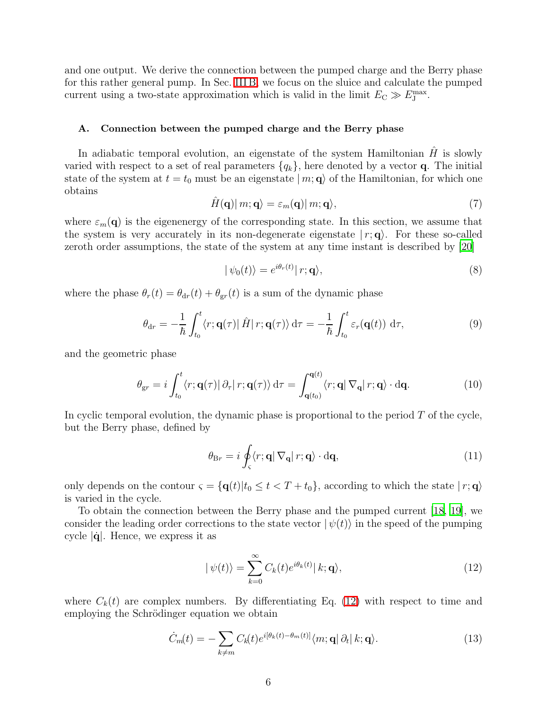and one output. We derive the connection between the pumped charge and the Berry phase for this rather general pump. In Sec. [III B,](#page-8-0) we focus on the sluice and calculate the pumped current using a two-state approximation which is valid in the limit  $E_{\rm C} \gg E_{\rm J}^{\rm max}$ .

# A. Connection between the pumped charge and the Berry phase

<span id="page-5-6"></span><span id="page-5-0"></span>In adiabatic temporal evolution, an eigenstate of the system Hamiltonian  $\hat{H}$  is slowly varied with respect to a set of real parameters  $\{q_k\}$ , here denoted by a vector **q**. The initial state of the system at  $t = t_0$  must be an eigenstate  $|m; \mathbf{q}\rangle$  of the Hamiltonian, for which one obtains

$$
\hat{H}(\mathbf{q})|m;\mathbf{q}\rangle = \varepsilon_m(\mathbf{q})|m;\mathbf{q}\rangle,\tag{7}
$$

where  $\varepsilon_m(\mathbf{q})$  is the eigenenergy of the corresponding state. In this section, we assume that the system is very accurately in its non-degenerate eigenstate  $|r; \mathbf{q}\rangle$ . For these so-called zeroth order assumptions, the state of the system at any time instant is described by [\[20\]](#page-18-11)

<span id="page-5-5"></span><span id="page-5-3"></span>
$$
|\psi_0(t)\rangle = e^{i\theta_r(t)}|r; \mathbf{q}\rangle,\tag{8}
$$

where the phase  $\theta_r(t) = \theta_{dr}(t) + \theta_{gr}(t)$  is a sum of the dynamic phase

$$
\theta_{\mathrm{d}r} = -\frac{1}{\hbar} \int_{t_0}^t \langle r; \mathbf{q}(\tau) | \hat{H} | r; \mathbf{q}(\tau) \rangle \, \mathrm{d}\tau = -\frac{1}{\hbar} \int_{t_0}^t \varepsilon_r(\mathbf{q}(t)) \, \mathrm{d}\tau,\tag{9}
$$

and the geometric phase

<span id="page-5-4"></span>
$$
\theta_{gr} = i \int_{t_0}^t \langle r; \mathbf{q}(\tau) | \partial_\tau | r; \mathbf{q}(\tau) \rangle d\tau = \int_{\mathbf{q}(t_0)}^{\mathbf{q}(t)} \langle r; \mathbf{q} | \nabla_\mathbf{q} | r; \mathbf{q} \rangle \cdot d\mathbf{q}.
$$
 (10)

In cyclic temporal evolution, the dynamic phase is proportional to the period  $T$  of the cycle, but the Berry phase, defined by

$$
\theta_{\mathrm{B}r} = i \oint_{\varsigma} \langle r; \mathbf{q} | \nabla_{\mathbf{q}} | r; \mathbf{q} \rangle \cdot \mathrm{d} \mathbf{q}, \tag{11}
$$

only depends on the contour  $\varsigma = {\mathbf{q}(t)|t_0 \le t < T + t_0}$ , according to which the state  $|r; \mathbf{q} \rangle$ is varied in the cycle.

To obtain the connection between the Berry phase and the pumped current [\[18](#page-18-9), [19](#page-18-10)], we consider the leading order corrections to the state vector  $|\psi(t)\rangle$  in the speed of the pumping cycle  $|\dot{\mathbf{q}}|$ . Hence, we express it as

<span id="page-5-2"></span><span id="page-5-1"></span>
$$
|\psi(t)\rangle = \sum_{k=0}^{\infty} C_k(t) e^{i\theta_k(t)} |k; \mathbf{q}\rangle,
$$
\n(12)

where  $C_k(t)$  are complex numbers. By differentiating Eq. [\(12\)](#page-5-1) with respect to time and employing the Schrödinger equation we obtain

$$
\dot{C}_m(t) = -\sum_{k \neq m} C_k(t) e^{i[\theta_k(t) - \theta_m(t)]} \langle m; \mathbf{q} | \partial_t | k; \mathbf{q} \rangle.
$$
 (13)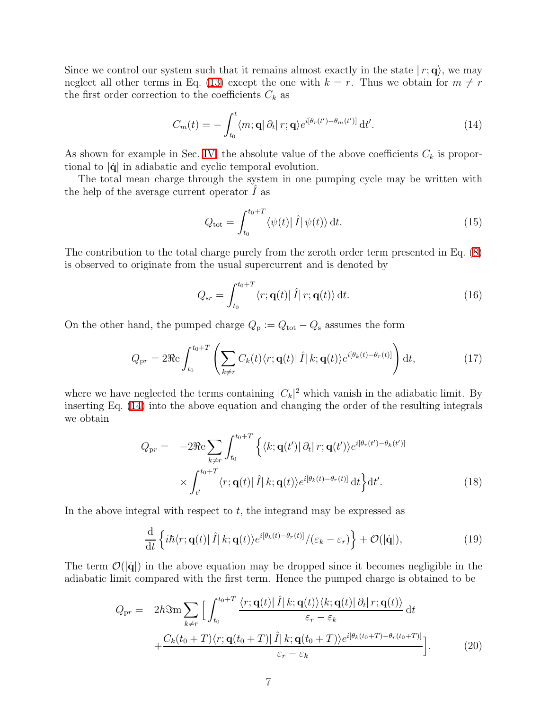Since we control our system such that it remains almost exactly in the state  $(r; \mathbf{q})$ , we may neglect all other terms in Eq. [\(13\)](#page-5-2) except the one with  $k = r$ . Thus we obtain for  $m \neq r$ the first order correction to the coefficients  $C_k$  as

<span id="page-6-0"></span>
$$
C_m(t) = -\int_{t_0}^t \langle m; \mathbf{q} | \partial_t | r; \mathbf{q} \rangle e^{i[\theta_r(t') - \theta_m(t')]}\, \mathrm{d}t'.\tag{14}
$$

As shown for example in Sec. [IV,](#page-10-0) the absolute value of the above coefficients  $C_k$  is proportional to  $|\dot{\mathbf{q}}|$  in adiabatic and cyclic temporal evolution.

The total mean charge through the system in one pumping cycle may be written with the help of the average current operator  $\tilde{I}$  as

<span id="page-6-1"></span>
$$
Q_{\text{tot}} = \int_{t_0}^{t_0 + T} \langle \psi(t) | \hat{I} | \psi(t) \rangle dt.
$$
 (15)

The contribution to the total charge purely from the zeroth order term presented in Eq. [\(8\)](#page-5-3) is observed to originate from the usual supercurrent and is denoted by

$$
Q_{sr} = \int_{t_0}^{t_0+T} \langle r; \mathbf{q}(t) | \hat{I} | r; \mathbf{q}(t) \rangle dt.
$$
 (16)

On the other hand, the pumped charge  $Q_{\rm p} := Q_{\rm tot} - Q_{\rm s}$  assumes the form

$$
Q_{\rm pr} = 2\Re \int_{t_0}^{t_0+T} \left( \sum_{k \neq r} C_k(t) \langle r; \mathbf{q}(t) | \hat{I} | k; \mathbf{q}(t) \rangle e^{i[\theta_k(t) - \theta_r(t)]} \right) dt, \tag{17}
$$

where we have neglected the terms containing  $|C_k|^2$  which vanish in the adiabatic limit. By inserting Eq. [\(14\)](#page-6-0) into the above equation and changing the order of the resulting integrals we obtain

$$
Q_{\rm pr} = -2\Re\sum_{k\neq r} \int_{t_0}^{t_0+T} \left\{ \langle k; \mathbf{q}(t') | \partial_t | r; \mathbf{q}(t') \rangle e^{i[\theta_r(t')-\theta_k(t')]}\n\times \int_{t'}^{t_0+T} \langle r; \mathbf{q}(t) | \hat{I} | k; \mathbf{q}(t) \rangle e^{i[\theta_k(t)-\theta_r(t)]} dt \right\} dt'.
$$
\n(18)

In the above integral with respect to  $t$ , the integrand may be expressed as

$$
\frac{\mathrm{d}}{\mathrm{d}t}\left\{i\hbar\langle r;\mathbf{q}(t)|\,\hat{I}|k;\mathbf{q}(t)\rangle e^{i[\theta_k(t)-\theta_r(t)]}/(\varepsilon_k-\varepsilon_r)\right\}+\mathcal{O}(|\dot{\mathbf{q}}|),\tag{19}
$$

The term  $\mathcal{O}(|\dot{q}|)$  in the above equation may be dropped since it becomes negligible in the adiabatic limit compared with the first term. Hence the pumped charge is obtained to be

$$
Q_{\rm pr} = 2\hbar \Im \sum_{k \neq r} \Big[ \int_{t_0}^{t_0 + T} \frac{\langle r; \mathbf{q}(t) | \hat{I} | k; \mathbf{q}(t) \rangle \langle k; \mathbf{q}(t) | \partial_t | r; \mathbf{q}(t) \rangle}{\varepsilon_r - \varepsilon_k} dt + \frac{C_k(t_0 + T) \langle r; \mathbf{q}(t_0 + T) | \hat{I} | k; \mathbf{q}(t_0 + T) \rangle e^{i[\theta_k(t_0 + T) - \theta_r(t_0 + T)]}}{\varepsilon_r - \varepsilon_k} \Big]. \tag{20}
$$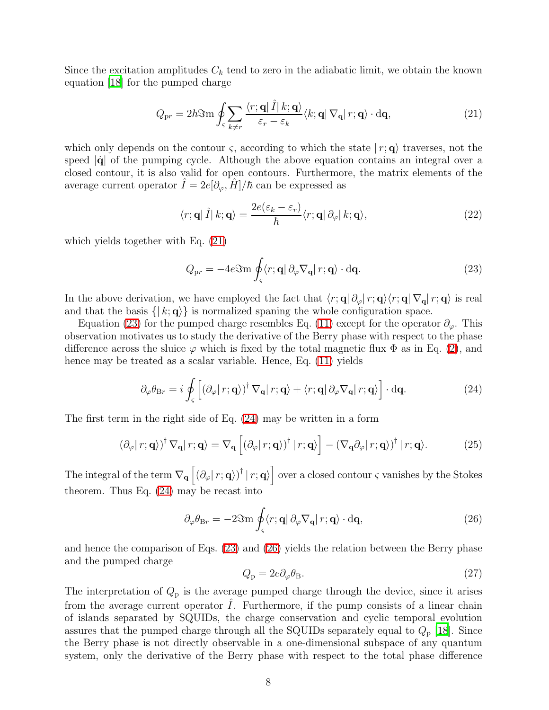Since the excitation amplitudes  $C_k$  tend to zero in the adiabatic limit, we obtain the known equation [\[18\]](#page-18-9) for the pumped charge

<span id="page-7-0"></span>
$$
Q_{\rm pr} = 2\hbar \Im \text{m} \oint_{\varsigma} \sum_{k \neq r} \frac{\langle r; \mathbf{q} | \hat{I} | k; \mathbf{q} \rangle}{\varepsilon_r - \varepsilon_k} \langle k; \mathbf{q} | \nabla_{\mathbf{q}} | r; \mathbf{q} \rangle \cdot \mathrm{d} \mathbf{q}, \tag{21}
$$

which only depends on the contour  $\varsigma$ , according to which the state  $|r; \mathbf{q}\rangle$  traverses, not the speed  $|\dot{q}|$  of the pumping cycle. Although the above equation contains an integral over a closed contour, it is also valid for open contours. Furthermore, the matrix elements of the average current operator  $I = 2e[\partial_{\varphi}, H]/\hbar$  can be expressed as

<span id="page-7-1"></span>
$$
\langle r; \mathbf{q} | \hat{I} | k; \mathbf{q} \rangle = \frac{2e(\varepsilon_k - \varepsilon_r)}{\hbar} \langle r; \mathbf{q} | \partial_{\varphi} | k; \mathbf{q} \rangle, \tag{22}
$$

which yields together with Eq. [\(21\)](#page-7-0)

<span id="page-7-2"></span>
$$
Q_{\rm pr} = -4e \Im \text{m} \oint_{\varsigma} \langle r; \mathbf{q} | \partial_{\varphi} \nabla_{\mathbf{q}} | r; \mathbf{q} \rangle \cdot d\mathbf{q}.
$$
 (23)

In the above derivation, we have employed the fact that  $\langle r; \mathbf{q} | \partial_{\varphi}| r; \mathbf{q} \rangle \langle r; \mathbf{q} | \nabla_{\mathbf{q}} | r; \mathbf{q} \rangle$  is real and that the basis  $\{ | k; \mathbf{q} \rangle \}$  is normalized spaning the whole configuration space.

Equation [\(23\)](#page-7-1) for the pumped charge resembles Eq. [\(11\)](#page-5-4) except for the operator  $\partial_{\varphi}$ . This observation motivates us to study the derivative of the Berry phase with respect to the phase difference across the sluice  $\varphi$  which is fixed by the total magnetic flux  $\Phi$  as in Eq. [\(2\)](#page-2-3), and hence may be treated as a scalar variable. Hence, Eq. [\(11\)](#page-5-4) yields

$$
\partial_{\varphi}\theta_{\mathrm{Br}} = i \oint_{\varsigma} \left[ \left( \partial_{\varphi} |r; \mathbf{q} \rangle \right)^{\dagger} \nabla_{\mathbf{q}} |r; \mathbf{q} \rangle + \langle r; \mathbf{q} | \partial_{\varphi} \nabla_{\mathbf{q}} |r; \mathbf{q} \rangle \right] \cdot \mathrm{d}\mathbf{q}.
$$
 (24)

The first term in the right side of Eq. [\(24\)](#page-7-2) may be written in a form

$$
\left(\partial_{\varphi}|r;\mathbf{q}\rangle\right)^{\dagger}\nabla_{\mathbf{q}}|r;\mathbf{q}\rangle = \nabla_{\mathbf{q}}\left[\left(\partial_{\varphi}|r;\mathbf{q}\rangle\right)^{\dagger}|r;\mathbf{q}\rangle\right] - \left(\nabla_{\mathbf{q}}\partial_{\varphi}|r;\mathbf{q}\rangle\right)^{\dagger}|r;\mathbf{q}\rangle. \tag{25}
$$

The integral of the term  $\nabla_{\mathbf{q}}\left[\left(\partial_{\varphi}|\, r; \mathbf{q}\right)\right]^{\dagger}|\, r; \mathbf{q}\rangle\right]$  over a closed contour  $\varsigma$  vanishes by the Stokes theorem. Thus Eq. [\(24\)](#page-7-2) may be recast into

<span id="page-7-3"></span>
$$
\partial_{\varphi}\theta_{\mathrm{Br}} = -2\Im\mathbf{m}\oint_{\varsigma}\langle r;\mathbf{q}|\,\partial_{\varphi}\nabla_{\mathbf{q}}|r;\mathbf{q}\rangle\cdot\mathrm{d}\mathbf{q},\tag{26}
$$

<span id="page-7-4"></span>and hence the comparison of Eqs. [\(23\)](#page-7-1) and [\(26\)](#page-7-3) yields the relation between the Berry phase and the pumped charge

$$
Q_{\rm p} = 2e\partial_{\varphi}\theta_{\rm B}.\tag{27}
$$

The interpretation of  $Q_p$  is the average pumped charge through the device, since it arises from the average current operator  $I$ . Furthermore, if the pump consists of a linear chain of islands separated by SQUIDs, the charge conservation and cyclic temporal evolution assures that the pumped charge through all the SQUIDs separately equal to  $Q_{\text{p}}$  [\[18\]](#page-18-9). Since the Berry phase is not directly observable in a one-dimensional subspace of any quantum system, only the derivative of the Berry phase with respect to the total phase difference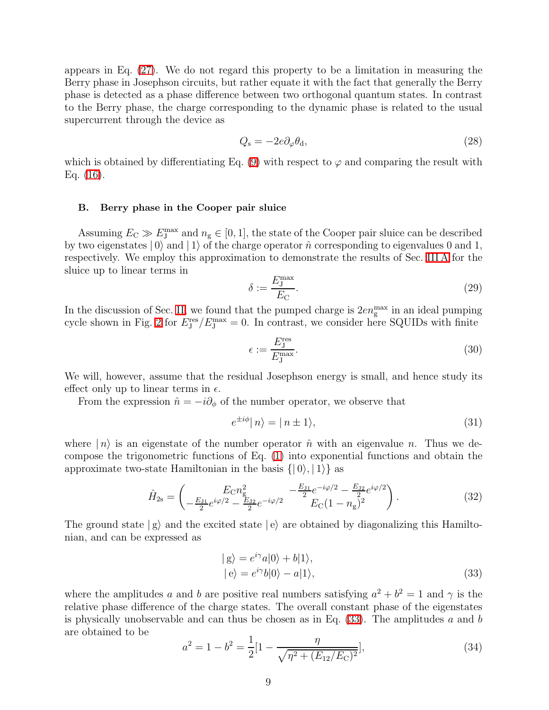appears in Eq. [\(27\)](#page-7-4). We do not regard this property to be a limitation in measuring the Berry phase in Josephson circuits, but rather equate it with the fact that generally the Berry phase is detected as a phase difference between two orthogonal quantum states. In contrast to the Berry phase, the charge corresponding to the dynamic phase is related to the usual supercurrent through the device as

$$
Q_{\rm s} = -2e\partial_{\varphi}\theta_{\rm d},\tag{28}
$$

<span id="page-8-0"></span>which is obtained by differentiating Eq. [\(9\)](#page-5-5) with respect to  $\varphi$  and comparing the result with Eq. [\(16\)](#page-6-1).

#### B. Berry phase in the Cooper pair sluice

Assuming  $E_C \gg E_J^{\text{max}}$  and  $n_g \in [0, 1]$ , the state of the Cooper pair sluice can be described by two eigenstates  $|0\rangle$  and  $|1\rangle$  of the charge operator  $\hat{n}$  corresponding to eigenvalues 0 and 1, respectively. We employ this approximation to demonstrate the results of Sec. [III A](#page-5-0) for the sluice up to linear terms in

$$
\delta := \frac{E_{\rm J}^{\rm max}}{E_{\rm C}}.\tag{29}
$$

In the discussion of Sec. [II,](#page-2-0) we found that the pumped charge is  $2en<sub>g</sub><sup>max</sup>$  in an ideal pumping cycle shown in Fig. [2](#page-4-1) for  $E_J^{\text{res}}/E_J^{\text{max}} = 0$ . In contrast, we consider here SQUIDs with finite

<span id="page-8-2"></span>
$$
\epsilon := \frac{E_{\rm J}^{\rm res}}{E_{\rm J}^{\rm max}}.\tag{30}
$$

We will, however, assume that the residual Josephson energy is small, and hence study its effect only up to linear terms in  $\epsilon$ .

From the expression  $\hat{n} = -i\partial_{\phi}$  of the number operator, we observe that

$$
e^{\pm i\phi} |n\rangle = |n \pm 1\rangle,\tag{31}
$$

where  $|n\rangle$  is an eigenstate of the number operator  $\hat{n}$  with an eigenvalue n. Thus we decompose the trigonometric functions of Eq. [\(1\)](#page-2-2) into exponential functions and obtain the approximate two-state Hamiltonian in the basis  $\{|0\rangle, |1\rangle\}$  as

$$
\hat{H}_{2s} = \begin{pmatrix} E_{\rm C} n_{\rm g}^2 & -\frac{E_{\rm J1}}{2} e^{-i\varphi/2} - \frac{E_{\rm J2}}{2} e^{i\varphi/2} \\ -\frac{E_{\rm J1}}{2} e^{i\varphi/2} - \frac{E_{\rm J2}}{2} e^{-i\varphi/2} & E_{\rm C} (1 - n_{\rm g})^2 \end{pmatrix} . \tag{32}
$$

The ground state  $|g\rangle$  and the excited state  $|e\rangle$  are obtained by diagonalizing this Hamiltonian, and can be expressed as

<span id="page-8-1"></span>
$$
|g\rangle = e^{i\gamma}a|0\rangle + b|1\rangle,|e\rangle = e^{i\gamma}b|0\rangle - a|1\rangle,
$$
\n(33)

where the amplitudes a and b are positive real numbers satisfying  $a^2 + b^2 = 1$  and  $\gamma$  is the relative phase difference of the charge states. The overall constant phase of the eigenstates is physically unobservable and can thus be chosen as in Eq.  $(33)$ . The amplitudes a and b are obtained to be

$$
a^2 = 1 - b^2 = \frac{1}{2} \left[ 1 - \frac{\eta}{\sqrt{\eta^2 + (E_{12}/E_{\rm C})^2}} \right],\tag{34}
$$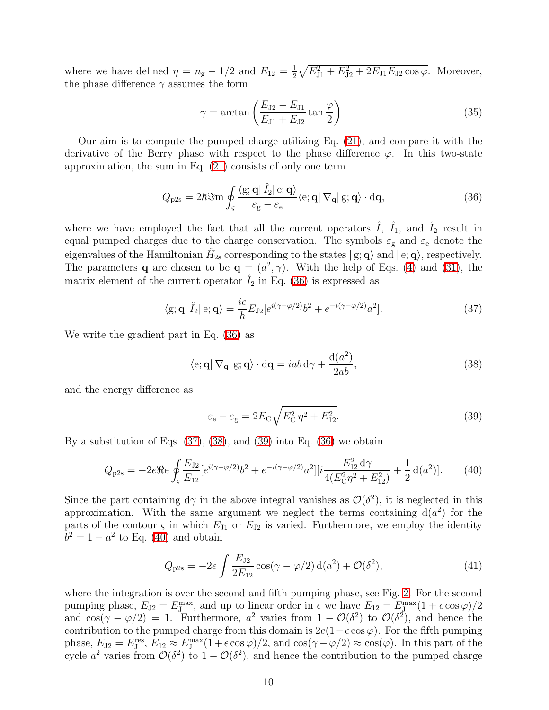where we have defined  $\eta = n_{\rm g} - 1/2$  and  $E_{12} = \frac{1}{2}$  $\frac{1}{2}\sqrt{E_{J1}^2 + E_{J2}^2 + 2E_{J1}E_{J2}\cos\varphi}$ . Moreover, the phase difference  $\gamma$  assumes the form

<span id="page-9-0"></span>
$$
\gamma = \arctan\left(\frac{E_{J2} - E_{J1}}{E_{J1} + E_{J2}}\tan\frac{\varphi}{2}\right).
$$
 (35)

Our aim is to compute the pumped charge utilizing Eq. [\(21\)](#page-7-0), and compare it with the derivative of the Berry phase with respect to the phase difference  $\varphi$ . In this two-state approximation, the sum in Eq. [\(21\)](#page-7-0) consists of only one term

$$
Q_{\rm p2s} = 2\hbar \Im \text{m} \oint_{\varsigma} \frac{\langle \mathbf{g}; \mathbf{q} | \hat{I}_2 | \mathbf{e}; \mathbf{q} \rangle}{\varepsilon_{\rm g} - \varepsilon_{\rm e}} \langle \mathbf{e}; \mathbf{q} | \nabla_{\mathbf{q}} | \mathbf{g}; \mathbf{q} \rangle \cdot d\mathbf{q}, \tag{36}
$$

where we have employed the fact that all the current operators  $\hat{I}$ ,  $\hat{I}_1$ , and  $\hat{I}_2$  result in equal pumped charges due to the charge conservation. The symbols  $\varepsilon_{\rm g}$  and  $\varepsilon_{\rm e}$  denote the eigenvalues of the Hamiltonian  $\hat{H}_{2s}$  corresponding to the states  $|g; \mathbf{q}\rangle$  and  $|e; \mathbf{q}\rangle$ , respectively. The parameters **q** are chosen to be  $\mathbf{q} = (a^2, \gamma)$ . With the help of Eqs. [\(4\)](#page-3-1) and [\(31\)](#page-8-2), the matrix element of the current operator  $\hat{I}_2$  in Eq. [\(36\)](#page-9-0) is expressed as

<span id="page-9-2"></span>
$$
\langle \mathbf{g}; \mathbf{q} | \hat{I}_2 | \mathbf{e}; \mathbf{q} \rangle = \frac{ie}{\hbar} E_{\mathrm{J2}} [e^{i(\gamma - \varphi/2)} b^2 + e^{-i(\gamma - \varphi/2)} a^2]. \tag{37}
$$

We write the gradient part in Eq. [\(36\)](#page-9-0) as

<span id="page-9-3"></span><span id="page-9-1"></span>
$$
\langle e; \mathbf{q} | \nabla_{\mathbf{q}} | g; \mathbf{q} \rangle \cdot d\mathbf{q} = iab \, d\gamma + \frac{d(a^2)}{2ab},\tag{38}
$$

and the energy difference as

<span id="page-9-4"></span>
$$
\varepsilon_{\rm e} - \varepsilon_{\rm g} = 2E_{\rm C} \sqrt{E_{\rm C}^2 \eta^2 + E_{12}^2}.
$$
\n(39)

By a substitution of Eqs.  $(37)$ ,  $(38)$ , and  $(39)$  into Eq.  $(36)$  we obtain

$$
Q_{\rm p2s} = -2e\Re\theta \oint_{\zeta} \frac{E_{\rm J2}}{E_{12}} [e^{i(\gamma - \varphi/2)} b^2 + e^{-i(\gamma - \varphi/2)} a^2] [i \frac{E_{\rm 12}^2 d\gamma}{4(E_{\rm C}^2 \eta^2 + E_{\rm 12}^2)} + \frac{1}{2} d(a^2)]. \tag{40}
$$

Since the part containing  $d\gamma$  in the above integral vanishes as  $\mathcal{O}(\delta^2)$ , it is neglected in this approximation. With the same argument we neglect the terms containing  $d(a^2)$  for the parts of the contour  $\varsigma$  in which  $E_{J1}$  or  $E_{J2}$  is varied. Furthermore, we employ the identity  $b^2 = 1 - a^2$  to Eq. [\(40\)](#page-9-4) and obtain

$$
Q_{p2s} = -2e \int \frac{E_{J2}}{2E_{12}} \cos(\gamma - \varphi/2) d(a^2) + \mathcal{O}(\delta^2), \tag{41}
$$

where the integration is over the second and fifth pumping phase, see Fig. [2.](#page-4-1) For the second pumping phase,  $E_{J2} = E_J^{\text{max}}$ , and up to linear order in  $\epsilon$  we have  $E_{12} = E_J^{\text{max}}(1 + \epsilon \cos \varphi)/2$ and  $\cos(\gamma - \varphi/2) = 1$ . Furthermore,  $a^2$  varies from  $1 - \mathcal{O}(\delta^2)$  to  $\mathcal{O}(\delta^2)$ , and hence the contribution to the pumped charge from this domain is  $2e(1-\epsilon \cos \varphi)$ . For the fifth pumping phase,  $E_{J2} = E_J^{\text{res}}, E_{12} \approx E_J^{\text{max}}(1 + \epsilon \cos \varphi)/2$ , and  $\cos(\gamma - \varphi/2) \approx \cos(\varphi)$ . In this part of the cycle  $a^2$  varies from  $\mathcal{O}(\delta^2)$  to  $1-\mathcal{O}(\delta^2)$ , and hence the contribution to the pumped charge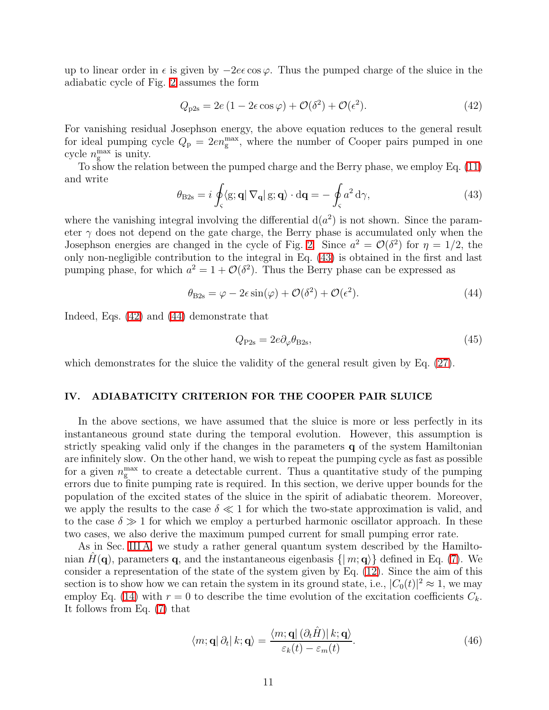up to linear order in  $\epsilon$  is given by  $-2e\epsilon\cos\varphi$ . Thus the pumped charge of the sluice in the adiabatic cycle of Fig. [2](#page-4-1) assumes the form

<span id="page-10-2"></span>
$$
Q_{\text{p2s}} = 2e\left(1 - 2\epsilon\cos\varphi\right) + \mathcal{O}(\delta^2) + \mathcal{O}(\epsilon^2). \tag{42}
$$

For vanishing residual Josephson energy, the above equation reduces to the general result for ideal pumping cycle  $Q_{\rm p} = 2e n_{\rm g}^{\rm max}$ , where the number of Cooper pairs pumped in one cycle  $n_{\rm g}^{\rm max}$  is unity.

<span id="page-10-1"></span>To show the relation between the pumped charge and the Berry phase, we employ Eq. [\(11\)](#page-5-4) and write

$$
\theta_{\text{B2s}} = i \oint_{\varsigma} \langle \mathbf{g}; \mathbf{q} | \nabla_{\mathbf{q}} | \mathbf{g}; \mathbf{q} \rangle \cdot d\mathbf{q} = - \oint_{\varsigma} a^2 d\gamma, \tag{43}
$$

where the vanishing integral involving the differential  $d(a^2)$  is not shown. Since the parameter  $\gamma$  does not depend on the gate charge, the Berry phase is accumulated only when the Josephson energies are changed in the cycle of Fig. [2.](#page-4-1) Since  $a^2 = \mathcal{O}(\delta^2)$  for  $\eta = 1/2$ , the only non-negligible contribution to the integral in Eq. [\(43\)](#page-10-1) is obtained in the first and last pumping phase, for which  $a^2 = 1 + \mathcal{O}(\delta^2)$ . Thus the Berry phase can be expressed as

$$
\theta_{\text{B2s}} = \varphi - 2\epsilon \sin(\varphi) + \mathcal{O}(\delta^2) + \mathcal{O}(\epsilon^2). \tag{44}
$$

Indeed, Eqs. [\(42\)](#page-10-2) and [\(44\)](#page-10-3) demonstrate that

<span id="page-10-3"></span>
$$
Q_{\rm P2s} = 2e\partial_{\varphi}\theta_{\rm B2s},\tag{45}
$$

which demonstrates for the sluice the validity of the general result given by Eq.  $(27)$ .

## <span id="page-10-0"></span>IV. ADIABATICITY CRITERION FOR THE COOPER PAIR SLUICE

In the above sections, we have assumed that the sluice is more or less perfectly in its instantaneous ground state during the temporal evolution. However, this assumption is strictly speaking valid only if the changes in the parameters q of the system Hamiltonian are infinitely slow. On the other hand, we wish to repeat the pumping cycle as fast as possible for a given  $n_{\rm g}^{\rm max}$  to create a detectable current. Thus a quantitative study of the pumping errors due to finite pumping rate is required. In this section, we derive upper bounds for the population of the excited states of the sluice in the spirit of adiabatic theorem. Moreover, we apply the results to the case  $\delta \ll 1$  for which the two-state approximation is valid, and to the case  $\delta \gg 1$  for which we employ a perturbed harmonic oscillator approach. In these two cases, we also derive the maximum pumped current for small pumping error rate.

As in Sec. [III A,](#page-5-0) we study a rather general quantum system described by the Hamiltonian  $H(\mathbf{q})$ , parameters q, and the instantaneous eigenbasis  $\{ | m; \mathbf{q} \rangle \}$  defined in Eq. [\(7\)](#page-5-6). We consider a representation of the state of the system given by Eq. [\(12\)](#page-5-1). Since the aim of this section is to show how we can retain the system in its ground state, i.e.,  $|C_0(t)|^2 \approx 1$ , we may employ Eq. [\(14\)](#page-6-0) with  $r = 0$  to describe the time evolution of the excitation coefficients  $C_k$ . It follows from Eq. [\(7\)](#page-5-6) that

<span id="page-10-4"></span>
$$
\langle m; \mathbf{q} | \partial_t | k; \mathbf{q} \rangle = \frac{\langle m; \mathbf{q} | (\partial_t \hat{H}) | k; \mathbf{q} \rangle}{\varepsilon_k(t) - \varepsilon_m(t)}.
$$
 (46)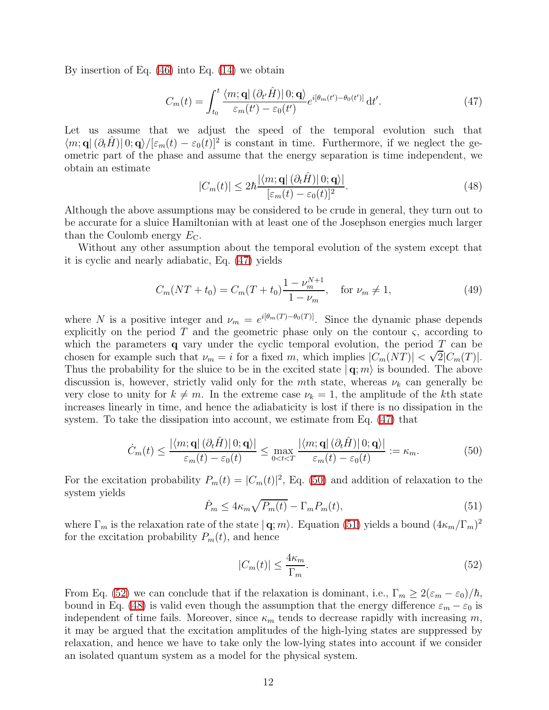By insertion of Eq. [\(46\)](#page-10-4) into Eq. [\(14\)](#page-6-0) we obtain

<span id="page-11-0"></span>
$$
C_m(t) = \int_{t_0}^t \frac{\langle m; \mathbf{q} | (\partial_{t'}\hat{H}) | 0; \mathbf{q} \rangle}{\varepsilon_m(t') - \varepsilon_0(t')} e^{i[\theta_m(t') - \theta_0(t')]}\, \mathrm{d}t'.\tag{47}
$$

<span id="page-11-4"></span>Let us assume that we adjust the speed of the temporal evolution such that  $\langle m; \mathbf{q} | (\partial_t \hat{H}) | 0; \mathbf{q} \rangle / [\varepsilon_m(t) - \varepsilon_0(t)]^2$  is constant in time. Furthermore, if we neglect the geometric part of the phase and assume that the energy separation is time independent, we obtain an estimate

$$
|C_m(t)| \le 2\hbar \frac{|\langle m; \mathbf{q} | (\partial_t \hat{H}) | 0; \mathbf{q} \rangle|}{[\varepsilon_m(t) - \varepsilon_0(t)]^2}.
$$
 (48)

Although the above assumptions may be considered to be crude in general, they turn out to be accurate for a sluice Hamiltonian with at least one of the Josephson energies much larger than the Coulomb energy  $E_{\text{C}}$ .

Without any other assumption about the temporal evolution of the system except that it is cyclic and nearly adiabatic, Eq. [\(47\)](#page-11-0) yields

$$
C_m(NT + t_0) = C_m(T + t_0) \frac{1 - \nu_m^{N+1}}{1 - \nu_m}, \quad \text{for } \nu_m \neq 1,
$$
 (49)

where N is a positive integer and  $\nu_m = e^{i[\theta_m(T) - \theta_0(T)]}$ . Since the dynamic phase depends explicitly on the period  $T$  and the geometric phase only on the contour  $\varsigma$ , according to which the parameters  $q$  vary under the cyclic temporal evolution, the period  $T$  can be chosen for example such that  $\nu_m = i$  for a fixed m, which implies  $|C_m(NT)| < \sqrt{2}|C_m(T)|$ . Thus the probability for the sluice to be in the excited state  $| \mathbf{q}; m \rangle$  is bounded. The above discussion is, however, strictly valid only for the mth state, whereas  $\nu_k$  can generally be very close to unity for  $k \neq m$ . In the extreme case  $\nu_k = 1$ , the amplitude of the kth state increases linearly in time, and hence the adiabaticity is lost if there is no dissipation in the system. To take the dissipation into account, we estimate from Eq. [\(47\)](#page-11-0) that

$$
\dot{C}_m(t) \le \frac{|\langle m; \mathbf{q} | (\partial_t \hat{H}) | 0; \mathbf{q} \rangle|}{\varepsilon_m(t) - \varepsilon_0(t)} \le \max_{0 < t < T} \frac{|\langle m; \mathbf{q} | (\partial_t \hat{H}) | 0; \mathbf{q} \rangle|}{\varepsilon_m(t) - \varepsilon_0(t)} := \kappa_m. \tag{50}
$$

<span id="page-11-2"></span>For the excitation probability  $P_m(t) = |C_m(t)|^2$ , Eq. [\(50\)](#page-11-1) and addition of relaxation to the system yields

<span id="page-11-3"></span><span id="page-11-1"></span>
$$
\dot{P}_m \le 4\kappa_m \sqrt{P_m(t)} - \Gamma_m P_m(t),\tag{51}
$$

where  $\Gamma_m$  is the relaxation rate of the state  $|\mathbf{q};m\rangle$ . Equation [\(51\)](#page-11-2) yields a bound  $(4\kappa_m/\Gamma_m)^2$ for the excitation probability  $P_m(t)$ , and hence

$$
|C_m(t)| \le \frac{4\kappa_m}{\Gamma_m}.\tag{52}
$$

From Eq. [\(52\)](#page-11-3) we can conclude that if the relaxation is dominant, i.e.,  $\Gamma_m \geq 2(\varepsilon_m - \varepsilon_0)/\hbar$ , bound in Eq. [\(48\)](#page-11-4) is valid even though the assumption that the energy difference  $\varepsilon_m - \varepsilon_0$  is independent of time fails. Moreover, since  $\kappa_m$  tends to decrease rapidly with increasing m, it may be argued that the excitation amplitudes of the high-lying states are suppressed by relaxation, and hence we have to take only the low-lying states into account if we consider an isolated quantum system as a model for the physical system.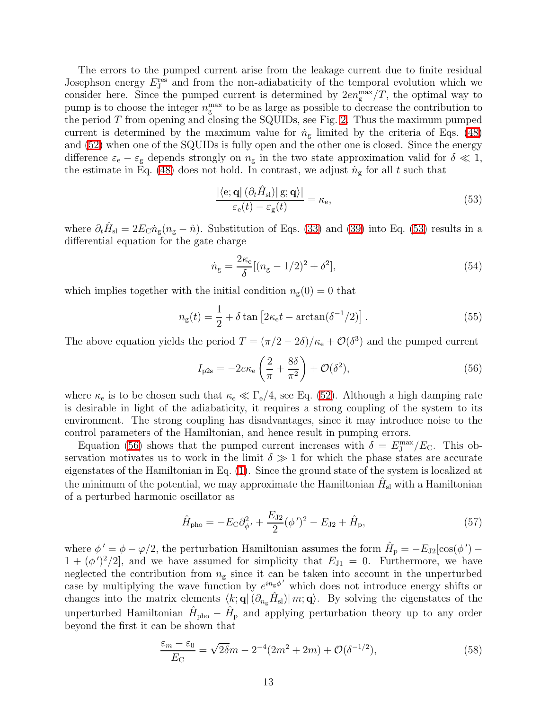The errors to the pumped current arise from the leakage current due to finite residual Josephson energy  $E_J^{\text{res}}$  and from the non-adiabaticity of the temporal evolution which we consider here. Since the pumped current is determined by  $2en_{\rm g}^{\rm max}/T$ , the optimal way to pump is to choose the integer  $n<sub>g</sub><sup>max</sup>$  to be as large as possible to decrease the contribution to the period  $T$  from opening and closing the SQUIDs, see Fig. [2.](#page-4-1) Thus the maximum pumped current is determined by the maximum value for  $\dot{n}_{\rm g}$  limited by the criteria of Eqs. [\(48\)](#page-11-4) and [\(52\)](#page-11-3) when one of the SQUIDs is fully open and the other one is closed. Since the energy difference  $\varepsilon_e - \varepsilon_g$  depends strongly on  $n_g$  in the two state approximation valid for  $\delta \ll 1$ , the estimate in Eq. [\(48\)](#page-11-4) does not hold. In contrast, we adjust  $\dot{n}_{\rm g}$  for all t such that

<span id="page-12-0"></span>
$$
\frac{|\langle e; \mathbf{q} | (\partial_t \hat{H}_{\rm sl}) | g; \mathbf{q} \rangle|}{\varepsilon_{\rm e}(t) - \varepsilon_{\rm g}(t)} = \kappa_{\rm e},\tag{53}
$$

where  $\partial_t \hat{H}_{\rm sl} = 2E_{\rm C} n_{\rm g}(n_{\rm g} - \hat{n})$ . Substitution of Eqs. [\(33\)](#page-8-1) and [\(39\)](#page-9-3) into Eq. [\(53\)](#page-12-0) results in a differential equation for the gate charge

<span id="page-12-1"></span>
$$
\dot{n}_{\rm g} = \frac{2\kappa_{\rm e}}{\delta} [(n_{\rm g} - 1/2)^2 + \delta^2],\tag{54}
$$

which implies together with the initial condition  $n_{\rm g}(0) = 0$  that

$$
n_{\rm g}(t) = \frac{1}{2} + \delta \tan \left[2\kappa_{\rm e}t - \arctan(\delta^{-1}/2)\right].\tag{55}
$$

The above equation yields the period  $T = (\pi/2 - 2\delta)/\kappa_e + \mathcal{O}(\delta^3)$  and the pumped current

$$
I_{\rm p2s} = -2e\kappa_{\rm e}\left(\frac{2}{\pi} + \frac{8\delta}{\pi^2}\right) + \mathcal{O}(\delta^2),\tag{56}
$$

where  $\kappa_e$  is to be chosen such that  $\kappa_e \ll \Gamma_e/4$ , see Eq. [\(52\)](#page-11-3). Although a high damping rate is desirable in light of the adiabaticity, it requires a strong coupling of the system to its environment. The strong coupling has disadvantages, since it may introduce noise to the control parameters of the Hamiltonian, and hence result in pumping errors.

Equation [\(56\)](#page-12-1) shows that the pumped current increases with  $\delta = E_J^{\text{max}}/E_C$ . This observation motivates us to work in the limit  $\delta \gg 1$  for which the phase states are accurate eigenstates of the Hamiltonian in Eq. [\(1\)](#page-2-2). Since the ground state of the system is localized at the minimum of the potential, we may approximate the Hamiltonian  $\hat{H}_{\mathrm{sl}}$  with a Hamiltonian of a perturbed harmonic oscillator as

<span id="page-12-3"></span>
$$
\hat{H}_{\rm pho} = -E_{\rm C}\partial_{\phi'}^2 + \frac{E_{\rm J2}}{2}(\phi')^2 - E_{\rm J2} + \hat{H}_{\rm p},\tag{57}
$$

where  $\phi' = \phi - \varphi/2$ , the perturbation Hamiltonian assumes the form  $\hat{H}_p = -E_{J2}[\cos(\phi') 1 + (\phi')^2/2$ , and we have assumed for simplicity that  $E_{J1} = 0$ . Furthermore, we have neglected the contribution from  $n<sub>g</sub>$  since it can be taken into account in the unperturbed case by multiplying the wave function by  $e^{in_{g}\phi'}$  which does not introduce energy shifts or changes into the matrix elements  $\langle k; \mathbf{q} | (\partial_{n_g}\hat{H}_{\rm sl})| m; \mathbf{q} \rangle$ . By solving the eigenstates of the unperturbed Hamiltonian  $\hat{H}_{\text{pho}} - \hat{H}_{\text{p}}$  and applying perturbation theory up to any order beyond the first it can be shown that

<span id="page-12-2"></span>
$$
\frac{\varepsilon_m - \varepsilon_0}{E_C} = \sqrt{2\delta m} - 2^{-4} (2m^2 + 2m) + \mathcal{O}(\delta^{-1/2}),\tag{58}
$$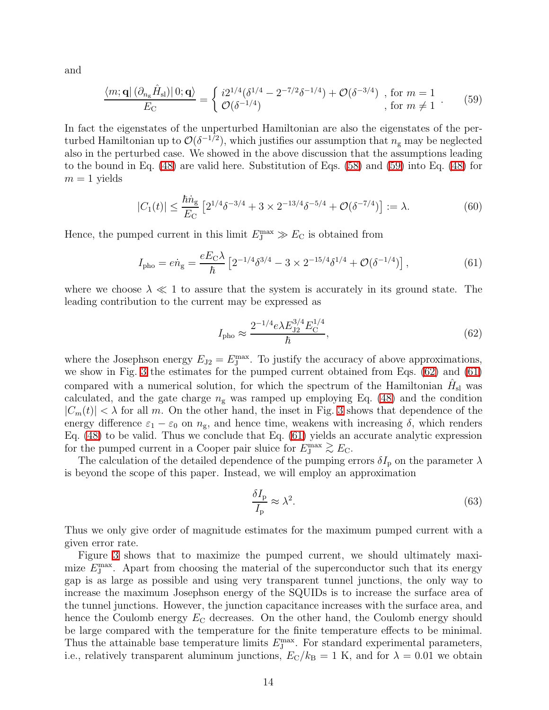<span id="page-13-0"></span>and

$$
\frac{\langle m; \mathbf{q} | (\partial_{n_{\mathbf{g}}} \hat{H}_{\mathrm{sl}}) | 0; \mathbf{q} \rangle}{E_{\mathrm{C}}} = \begin{cases} i2^{1/4} (\delta^{1/4} - 2^{-7/2} \delta^{-1/4}) + \mathcal{O}(\delta^{-3/4}) & \text{, for } m = 1 \\ \mathcal{O}(\delta^{-1/4}) & \text{, for } m \neq 1 \end{cases} . \tag{59}
$$

In fact the eigenstates of the unperturbed Hamiltonian are also the eigenstates of the perturbed Hamiltonian up to  $\mathcal{O}(\delta^{-1/2})$ , which justifies our assumption that  $n_{\rm g}$  may be neglected also in the perturbed case. We showed in the above discussion that the assumptions leading to the bound in Eq. [\(48\)](#page-11-4) are valid here. Substitution of Eqs. [\(58\)](#page-12-2) and [\(59\)](#page-13-0) into Eq. [\(48\)](#page-11-4) for  $m = 1$  yields

$$
|C_1(t)| \le \frac{\hbar \dot{n}_g}{E_C} \left[ 2^{1/4} \delta^{-3/4} + 3 \times 2^{-13/4} \delta^{-5/4} + \mathcal{O}(\delta^{-7/4}) \right] := \lambda. \tag{60}
$$

Hence, the pumped current in this limit  $E_{\text{J}}^{\text{max}} \gg E_{\text{C}}$  is obtained from

$$
I_{\rm pho} = e\dot{n}_{\rm g} = \frac{eE_{\rm C}\lambda}{\hbar} \left[ 2^{-1/4}\delta^{3/4} - 3 \times 2^{-15/4}\delta^{1/4} + \mathcal{O}(\delta^{-1/4}) \right],\tag{61}
$$

where we choose  $\lambda \ll 1$  to assure that the system is accurately in its ground state. The leading contribution to the current may be expressed as

<span id="page-13-2"></span><span id="page-13-1"></span>
$$
I_{\rm pho} \approx \frac{2^{-1/4} e \lambda E_{\rm J2}^{3/4} E_{\rm C}^{1/4}}{\hbar},\tag{62}
$$

where the Josephson energy  $E_{J2} = E_{J}^{\text{max}}$ . To justify the accuracy of above approximations, we show in Fig. [3](#page-14-1) the estimates for the pumped current obtained from Eqs. [\(62\)](#page-13-1) and [\(61\)](#page-13-2) compared with a numerical solution, for which the spectrum of the Hamiltonian  $\hat{H}_{\rm sl}$  was calculated, and the gate charge  $n<sub>g</sub>$  was ramped up employing Eq. [\(48\)](#page-11-4) and the condition  $|C_m(t)| < \lambda$  for all m. On the other hand, the inset in Fig. [3](#page-14-1) shows that dependence of the energy difference  $\varepsilon_1 - \varepsilon_0$  on  $n_{\rm g}$ , and hence time, weakens with increasing  $\delta$ , which renders Eq. [\(48\)](#page-11-4) to be valid. Thus we conclude that Eq. [\(61\)](#page-13-2) yields an accurate analytic expression for the pumped current in a Cooper pair sluice for  $E_J^{\text{max}} \gtrsim E_C$ .<br>The selection of the detailed dependence of the number of

The calculation of the detailed dependence of the pumping errors  $\delta I_{\rm p}$  on the parameter  $\lambda$ is beyond the scope of this paper. Instead, we will employ an approximation

$$
\frac{\delta I_{\rm p}}{I_{\rm p}} \approx \lambda^2. \tag{63}
$$

Thus we only give order of magnitude estimates for the maximum pumped current with a given error rate.

Figure [3](#page-14-1) shows that to maximize the pumped current, we should ultimately maximize  $E_{\text{J}}^{\text{max}}$ . Apart from choosing the material of the superconductor such that its energy gap is as large as possible and using very transparent tunnel junctions, the only way to increase the maximum Josephson energy of the SQUIDs is to increase the surface area of the tunnel junctions. However, the junction capacitance increases with the surface area, and hence the Coulomb energy  $E_{\rm C}$  decreases. On the other hand, the Coulomb energy should be large compared with the temperature for the finite temperature effects to be minimal. Thus the attainable base temperature limits  $E_{\text{J}}^{\text{max}}$ . For standard experimental parameters, i.e., relatively transparent aluminum junctions,  $E_{\rm C}/k_{\rm B} = 1$  K, and for  $\lambda = 0.01$  we obtain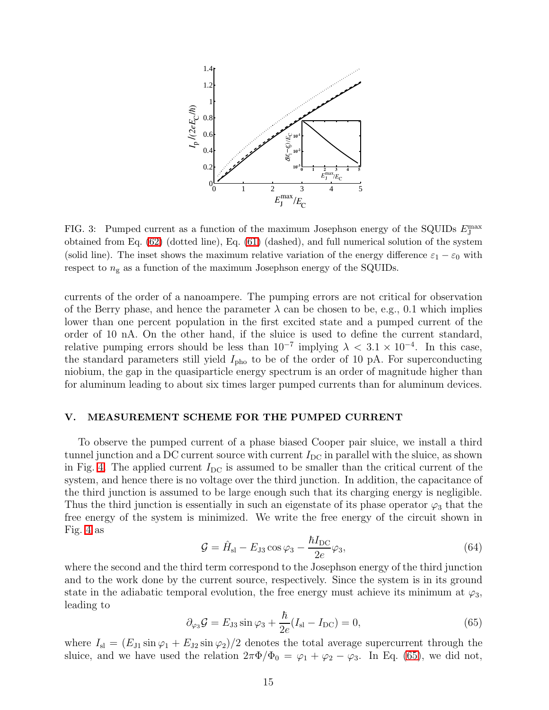

<span id="page-14-1"></span>FIG. 3: Pumped current as a function of the maximum Josephson energy of the SQUIDs  $E_{\text{J}}^{\text{max}}$ obtained from Eq. [\(62\)](#page-13-1) (dotted line), Eq. [\(61\)](#page-13-2) (dashed), and full numerical solution of the system (solid line). The inset shows the maximum relative variation of the energy difference  $\varepsilon_1 - \varepsilon_0$  with respect to  $n_g$  as a function of the maximum Josephson energy of the SQUIDs.

currents of the order of a nanoampere. The pumping errors are not critical for observation of the Berry phase, and hence the parameter  $\lambda$  can be chosen to be, e.g., 0.1 which implies lower than one percent population in the first excited state and a pumped current of the order of 10 nA. On the other hand, if the sluice is used to define the current standard, relative pumping errors should be less than  $10^{-7}$  implying  $\lambda < 3.1 \times 10^{-4}$ . In this case, the standard parameters still yield  $I_{\text{pho}}$  to be of the order of 10 pA. For superconducting niobium, the gap in the quasiparticle energy spectrum is an order of magnitude higher than for aluminum leading to about six times larger pumped currents than for aluminum devices.

## <span id="page-14-0"></span>V. MEASUREMENT SCHEME FOR THE PUMPED CURRENT

To observe the pumped current of a phase biased Cooper pair sluice, we install a third tunnel junction and a DC current source with current  $I_{\text{DC}}$  in parallel with the sluice, as shown in Fig. [4.](#page-15-0) The applied current  $I_{\text{DC}}$  is assumed to be smaller than the critical current of the system, and hence there is no voltage over the third junction. In addition, the capacitance of the third junction is assumed to be large enough such that its charging energy is negligible. Thus the third junction is essentially in such an eigenstate of its phase operator  $\varphi_3$  that the free energy of the system is minimized. We write the free energy of the circuit shown in Fig. [4](#page-15-0) as

$$
\mathcal{G} = \hat{H}_{\rm sl} - E_{\rm J3} \cos \varphi_3 - \frac{\hbar I_{\rm DC}}{2e} \varphi_3,\tag{64}
$$

<span id="page-14-2"></span>where the second and the third term correspond to the Josephson energy of the third junction and to the work done by the current source, respectively. Since the system is in its ground state in the adiabatic temporal evolution, the free energy must achieve its minimum at  $\varphi_3$ , leading to

$$
\partial_{\varphi_3} \mathcal{G} = E_{\text{J3}} \sin \varphi_3 + \frac{\hbar}{2e} (I_{\text{sl}} - I_{\text{DC}}) = 0, \tag{65}
$$

where  $I_{\rm sl} = (E_{\rm J1} \sin \varphi_1 + E_{\rm J2} \sin \varphi_2)/2$  denotes the total average supercurrent through the sluice, and we have used the relation  $2\pi\Phi/\Phi_0 = \varphi_1 + \varphi_2 - \varphi_3$ . In Eq. [\(65\)](#page-14-2), we did not,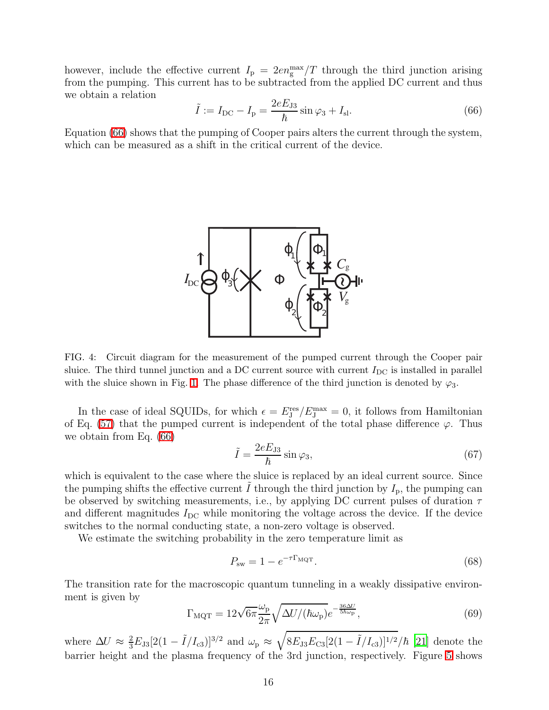<span id="page-15-1"></span>however, include the effective current  $I_{\rm p} = 2en_{\rm g}^{\rm max}/T$  through the third junction arising from the pumping. This current has to be subtracted from the applied DC current and thus we obtain a relation

$$
\tilde{I} := I_{\rm DC} - I_{\rm p} = \frac{2eE_{\rm J3}}{\hbar} \sin \varphi_3 + I_{\rm sl}. \tag{66}
$$

Equation [\(66\)](#page-15-1) shows that the pumping of Cooper pairs alters the current through the system, which can be measured as a shift in the critical current of the device.



<span id="page-15-0"></span>FIG. 4: Circuit diagram for the measurement of the pumped current through the Cooper pair sluice. The third tunnel junction and a DC current source with current  $I_{\text{DC}}$  is installed in parallel with the sluice shown in Fig. [1.](#page-3-0) The phase difference of the third junction is denoted by  $\varphi_3$ .

<span id="page-15-3"></span>In the case of ideal SQUIDs, for which  $\epsilon = E_{\rm J}^{\rm res}/E_{\rm J}^{\rm max} = 0$ , it follows from Hamiltonian of Eq. [\(57\)](#page-12-3) that the pumped current is independent of the total phase difference  $\varphi$ . Thus we obtain from Eq. [\(66\)](#page-15-1)

$$
\tilde{I} = \frac{2eE_{J3}}{\hbar} \sin \varphi_3,\tag{67}
$$

which is equivalent to the case where the sluice is replaced by an ideal current source. Since the pumping shifts the effective current I through the third junction by  $I_p$ , the pumping can be observed by switching measurements, i.e., by applying DC current pulses of duration  $\tau$ and different magnitudes  $I_{\text{DC}}$  while monitoring the voltage across the device. If the device switches to the normal conducting state, a non-zero voltage is observed.

We estimate the switching probability in the zero temperature limit as

<span id="page-15-2"></span>
$$
P_{\rm sw} = 1 - e^{-\tau \Gamma_{\rm MQT}}.\tag{68}
$$

The transition rate for the macroscopic quantum tunneling in a weakly dissipative environment is given by

$$
\Gamma_{\text{MQT}} = 12\sqrt{6\pi} \frac{\omega_{\text{p}}}{2\pi} \sqrt{\Delta U / (\hbar \omega_{\text{p}})} e^{-\frac{36\Delta U}{5\hbar \omega_{\text{p}}}},\tag{69}
$$

where  $\Delta U \approx \frac{2}{3} E_{J3} [2(1 - \tilde{I}/I_{c3})]^{3/2}$  and  $\omega_{\rm p} \approx \sqrt{8 E_{J3} E_{C3} [2(1 - \tilde{I}/I_{c3})]^{1/2}}/\hbar$  [\[21\]](#page-18-12) denote the barrier height and the plasma frequency of the 3rd junction, respectively. Figure [5](#page-16-0) shows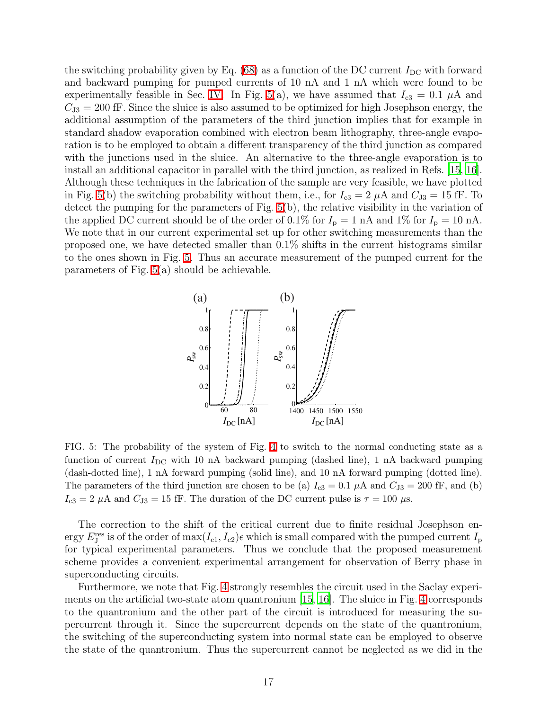the switching probability given by Eq.  $(68)$  as a function of the DC current  $I_{\text{DC}}$  with forward and backward pumping for pumped currents of 10 nA and 1 nA which were found to be experimentally feasible in Sec. [IV.](#page-10-0) In Fig. [5\(](#page-16-0)a), we have assumed that  $I_{c3} = 0.1 \mu A$  and  $C_{J3} = 200$  fF. Since the sluice is also assumed to be optimized for high Josephson energy, the additional assumption of the parameters of the third junction implies that for example in standard shadow evaporation combined with electron beam lithography, three-angle evaporation is to be employed to obtain a different transparency of the third junction as compared with the junctions used in the sluice. An alternative to the three-angle evaporation is to install an additional capacitor in parallel with the third junction, as realized in Refs. [\[15,](#page-18-5) [16\]](#page-18-6). Although these techniques in the fabrication of the sample are very feasible, we have plotted in Fig. [5\(](#page-16-0)b) the switching probability without them, i.e., for  $I_{c3} = 2 \mu A$  and  $C_{J3} = 15$  fF. To detect the pumping for the parameters of Fig. [5\(](#page-16-0)b), the relative visibility in the variation of the applied DC current should be of the order of 0.1% for  $I_p = 1$  nA and 1% for  $I_p = 10$  nA. We note that in our current experimental set up for other switching measurements than the proposed one, we have detected smaller than 0.1% shifts in the current histograms similar to the ones shown in Fig. [5.](#page-16-0) Thus an accurate measurement of the pumped current for the parameters of Fig. [5\(](#page-16-0)a) should be achievable.



<span id="page-16-0"></span>FIG. 5: The probability of the system of Fig. [4](#page-15-0) to switch to the normal conducting state as a function of current  $I_{\text{DC}}$  with 10 nA backward pumping (dashed line), 1 nA backward pumping (dash-dotted line), 1 nA forward pumping (solid line), and 10 nA forward pumping (dotted line). The parameters of the third junction are chosen to be (a)  $I_{c3} = 0.1 \mu A$  and  $C_{J3} = 200 \text{ fF}$ , and (b)  $I_{c3} = 2 \mu A$  and  $C_{J3} = 15$  fF. The duration of the DC current pulse is  $\tau = 100 \mu s$ .

The correction to the shift of the critical current due to finite residual Josephson energy  $E_J^{\text{res}}$  is of the order of  $\max(I_{c1}, I_{c2})\epsilon$  which is small compared with the pumped current  $I_p$ for typical experimental parameters. Thus we conclude that the proposed measurement scheme provides a convenient experimental arrangement for observation of Berry phase in superconducting circuits.

Furthermore, we note that Fig. [4](#page-15-0) strongly resembles the circuit used in the Saclay experiments on the artificial two-state atom quantronium [\[15,](#page-18-5) [16\]](#page-18-6). The sluice in Fig. [4](#page-15-0) corresponds to the quantronium and the other part of the circuit is introduced for measuring the supercurrent through it. Since the supercurrent depends on the state of the quantronium, the switching of the superconducting system into normal state can be employed to observe the state of the quantronium. Thus the supercurrent cannot be neglected as we did in the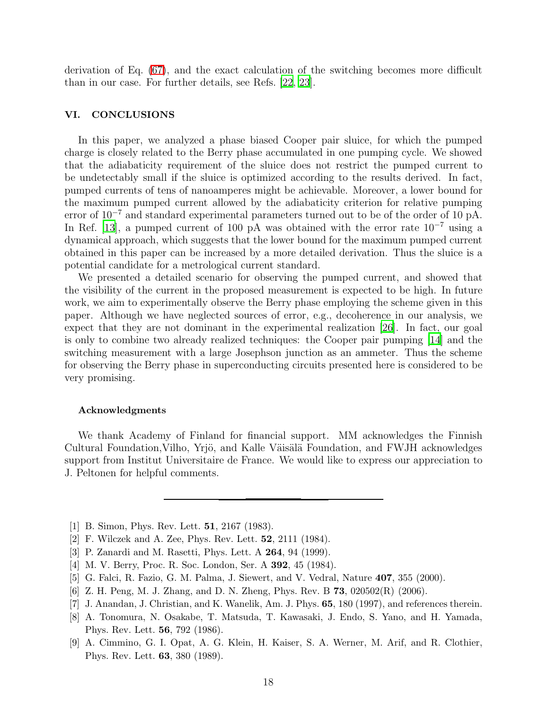derivation of Eq. [\(67\)](#page-15-3), and the exact calculation of the switching becomes more difficult than in our case. For further details, see Refs. [\[22,](#page-18-13) [23\]](#page-18-14).

# <span id="page-17-9"></span>VI. CONCLUSIONS

In this paper, we analyzed a phase biased Cooper pair sluice, for which the pumped charge is closely related to the Berry phase accumulated in one pumping cycle. We showed that the adiabaticity requirement of the sluice does not restrict the pumped current to be undetectably small if the sluice is optimized according to the results derived. In fact, pumped currents of tens of nanoamperes might be achievable. Moreover, a lower bound for the maximum pumped current allowed by the adiabaticity criterion for relative pumping error of 10<sup>−</sup><sup>7</sup> and standard experimental parameters turned out to be of the order of 10 pA. In Ref. [\[13](#page-18-3)], a pumped current of 100 pA was obtained with the error rate  $10^{-7}$  using a dynamical approach, which suggests that the lower bound for the maximum pumped current obtained in this paper can be increased by a more detailed derivation. Thus the sluice is a potential candidate for a metrological current standard.

We presented a detailed scenario for observing the pumped current, and showed that the visibility of the current in the proposed measurement is expected to be high. In future work, we aim to experimentally observe the Berry phase employing the scheme given in this paper. Although we have neglected sources of error, e.g., decoherence in our analysis, we expect that they are not dominant in the experimental realization [\[26](#page-18-15)]. In fact, our goal is only to combine two already realized techniques: the Cooper pair pumping [\[14](#page-18-4)] and the switching measurement with a large Josephson junction as an ammeter. Thus the scheme for observing the Berry phase in superconducting circuits presented here is considered to be very promising.

#### Acknowledgments

We thank Academy of Finland for financial support. MM acknowledges the Finnish Cultural Foundation, Vilho, Yrjö, and Kalle Väisälä Foundation, and FWJH acknowledges support from Institut Universitaire de France. We would like to express our appreciation to J. Peltonen for helpful comments.

- <span id="page-17-0"></span>[1] B. Simon, Phys. Rev. Lett. **51**, 2167 (1983).
- <span id="page-17-1"></span>[2] F. Wilczek and A. Zee, Phys. Rev. Lett. 52, 2111 (1984).
- <span id="page-17-2"></span>[3] P. Zanardi and M. Rasetti, Phys. Lett. A 264, 94 (1999).
- <span id="page-17-3"></span>[4] M. V. Berry, Proc. R. Soc. London, Ser. A 392, 45 (1984).
- <span id="page-17-4"></span>[5] G. Falci, R. Fazio, G. M. Palma, J. Siewert, and V. Vedral, Nature 407, 355 (2000).
- <span id="page-17-5"></span>[6] Z. H. Peng, M. J. Zhang, and D. N. Zheng, Phys. Rev. B 73, 020502(R) (2006).
- <span id="page-17-6"></span>[7] J. Anandan, J. Christian, and K. Wanelik, Am. J. Phys. 65, 180 (1997), and references therein.
- <span id="page-17-7"></span>[8] A. Tonomura, N. Osakabe, T. Matsuda, T. Kawasaki, J. Endo, S. Yano, and H. Yamada, Phys. Rev. Lett. 56, 792 (1986).
- <span id="page-17-8"></span>[9] A. Cimmino, G. I. Opat, A. G. Klein, H. Kaiser, S. A. Werner, M. Arif, and R. Clothier, Phys. Rev. Lett. 63, 380 (1989).